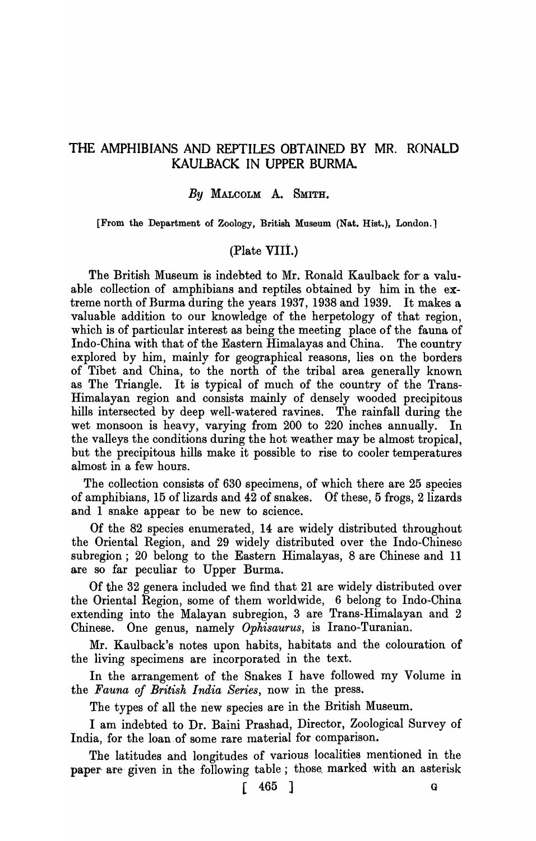# THE AMPHIBIANS AND REPTILES OBTAINED BY MR. RONALD KAULBACK IN UPPER BURMA.

## *By* MALCOLM A. SMITH.

[From the Department of Zoology, British Museum (Nat. Hist.), London.]

## (Plate VIII.)

The British Museum is indebted to Mr. Ronald Kaulback for a valuable collection of amphibians and reptiles obtained by him in the extreme north of Burma during the years 1937, 1938 and 1939. It makes a valuable addition to our knowledge of the herpetology of that region, which is of particular interest as being the meeting place of the fauna of Indo-China with that of the Eastern Himalayas and China. The country explored by him, mainly for geographical reasons, lies on the borders of Tibet and China, to the north of the tribal area generally known as The Triangle. It is typical of much of the country of the Trans-Himalayan region and consists mainly of densely wooded precipitous hills intersected by deep well-watered ravines. The rainfall during the wet monsoon is heavy, varying from 200 to 220 inches annually. In the valleys the conditions during the hot weather may be almost tropical, but the precipitous hills make it possible to rise to cooler temperatures almost in a few hours.

The collection consists of 630 specimens, of which there are 25 species of amphibians, 15 of lizards and 42 of snakes. Of these, 5 frogs, 2 lizards and 1 snake appear to be new to science.

Of the 82 species enumerated, 14 are widely distributed throughout the Oriental Region, and 29 widely distributed over the Indo-Chinese subregion; 20 belong to the Eastern Himalayas, 8 are Chinese and 11 are so far peculiar to Upper Burma.

Of the 32 genera included we find that 21 are widely distributed over the Oriental Region, some of them world wide, 6 belong to Indo-China extending into the Malayan subregion, 3 are Trans-Himalayan and 2 Chinese. One genus, namely *Ophisaurus,* is Irano-Turanian.

Mr. Kaulback's notes upon habits, habitats and the colouration of the living specimens are incorporated in the text.

In the arrangement of the Snakes I have followed my Volume in the *Fauna of British India Series,* now in the press.

The types of all the new species are in the British Museum.

I am indebted to Dr. Baini Prashad, Director, Zoological Survey of India, for the loan of some rare material for comparison.

The latitudes and longitudes of various localities mentioned in the paper are given in the following table; those marked with an asterisk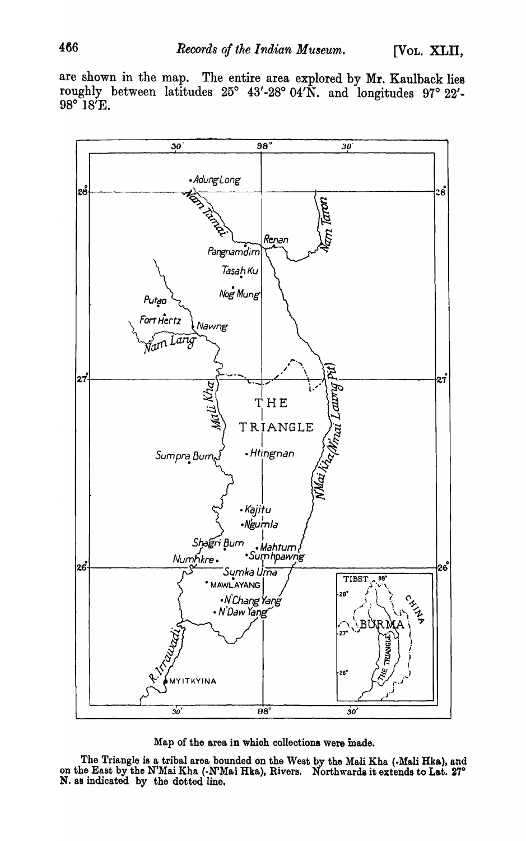are shown in the map. The entire area explored by Mr. Kaulback lies roughly between latitudes 25° 43'-28° 04'N. and longitudes 97° 22'-9So *IS'E.* 



Map of the area in which collections were made.

The Triangle is a tribal area bounded on the West by the Mali Kha (.Mali Hka), and on the East by the N'Mai Kha (-N'Mai Hka), Rivers. Northwards it extends to Lat. 27° N. as indicated by the dotted line.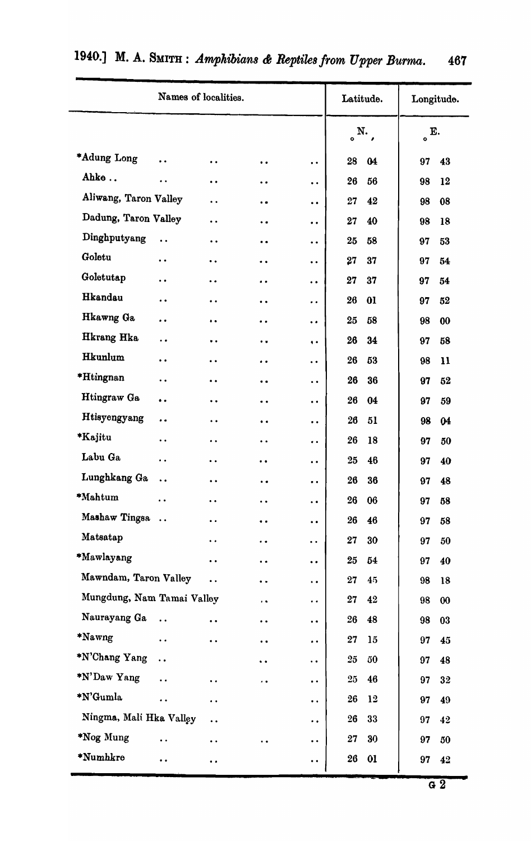|                                                                         |                                          | Names of localities. |                      | Latitude.                                    |                          | Longitude. |         |                       |
|-------------------------------------------------------------------------|------------------------------------------|----------------------|----------------------|----------------------------------------------|--------------------------|------------|---------|-----------------------|
|                                                                         |                                          |                      |                      |                                              | $N_{\cdot}$<br>$\bullet$ |            | E.<br>ó |                       |
| *Adung Long                                                             | $\ddot{\phantom{a}}$                     | $\ddot{\phantom{0}}$ | $\bullet$            | $\ddot{\phantom{0}}$                         | 28                       | 04         | 97      | 43                    |
| Ahke                                                                    | $\bullet$                                | $\ddot{\phantom{0}}$ | $\bullet$            | $\ddot{\phantom{0}}$                         | 26                       | 56         | 98      | 12                    |
| Aliwang, Taron Valley                                                   |                                          | $\ddot{\phantom{a}}$ | $\bullet$            | $\ddot{\bullet}$                             | 27                       | 42         | 98      | 08                    |
| Dadung, Taron Valley                                                    |                                          | $\ddot{\bullet}$     | $\bullet$            | $\bullet$                                    | 27                       | 40         | 98      | 18                    |
| Dinghputyang                                                            | $\ddot{\phantom{a}}$                     | $\ddot{\phantom{a}}$ | $\bullet$            | $\ddot{\bullet}$                             | 25                       | 58         | 97      | 53                    |
| Goletu                                                                  | $\ddot{\phantom{0}}$                     | $\bullet$            | $\ddot{\phantom{0}}$ | $\bullet$                                    | 27                       | 37         | 97      | 54                    |
| Goletutap                                                               | $\ddot{\phantom{0}}$                     | $\bullet$            | $\ddot{\phantom{a}}$ | $\ddot{\phantom{1}}$                         | 27                       | 37         | 97      | 54                    |
| Hkandau                                                                 | $\ddot{\phantom{0}}$                     | $\ddot{\phantom{0}}$ | $\ddot{\bullet}$     | $\ddot{\phantom{0}}$                         | 26                       | 01         | 97      | 52                    |
| Hkawng Ga                                                               | $\bullet$                                | $\ddot{\phantom{1}}$ | $\bullet$            | $\ddot{\bullet}$                             | 25                       | 58         | 98      | 00                    |
| Hkrang Hka                                                              | $\ddot{\phantom{a}}$                     | $\cdot$              | $\bullet$            | $\bullet$                                    | 26                       | 34         | 97      | 58                    |
| Hkunlum                                                                 | $\ddot{\phantom{0}}$                     | $\ddot{\phantom{0}}$ | $\bullet$            | $\ddot{\phantom{0}}$                         | 26                       | 53         | 98      | $\mathbf{11}$         |
| *Htingnan                                                               | $\ddot{\phantom{a}}$                     | $\ddot{\phantom{a}}$ | $\bullet$            | $\ddot{\phantom{0}}$                         | 26                       | 36         | 97      | 52                    |
| Htingraw Ga                                                             | $\bullet$ $\bullet$                      | $\ddot{\phantom{0}}$ | $\bullet$            | $\ddot{\phantom{0}}$                         | 26                       | 04         | 97      | 59                    |
| Htisyengyang                                                            | $\ddot{\phantom{0}}$                     | $\ddot{\bullet}$     | $\bullet\bullet$     | $\ddot{\phantom{0}}$                         | 26                       | 51         | 98      | 04                    |
| *Kajitu                                                                 | $\ddot{\phantom{a}}$                     | $\ddot{\phantom{a}}$ | $\ddot{\phantom{0}}$ | $\ddot{\phantom{a}}$                         | 26                       | 18         | 97      | 50                    |
| Labu Ga                                                                 | $\bullet\hspace{1mm}\bullet\hspace{1mm}$ | $\ddot{\phantom{0}}$ | $\bullet$            | $\bullet\hspace{0.4mm}\bullet\hspace{0.4mm}$ | 25                       | 46         | 97      | 40                    |
| Lunghkang Ga                                                            | $\ddot{\phantom{0}}$                     | $\ddot{\phantom{0}}$ | $\ddot{\phantom{0}}$ | $\ddot{\phantom{1}}$                         | 26                       | 36         | 97      | 48                    |
| *Mahtum                                                                 | $\ddot{\phantom{0}}$                     | $\ddot{\phantom{0}}$ | $\ddot{\phantom{a}}$ | $\ddot{\phantom{1}}$                         | 26                       | 06         | 97      | 58                    |
| Mashaw Tingsa                                                           |                                          | $\bullet$            | $\bullet$            | $\bullet\; \bullet$                          | 26                       | 46         | 97      | 58                    |
| Matsatap                                                                |                                          | $\ddot{\phantom{a}}$ | $\ddot{\phantom{0}}$ | $\ddot{\phantom{a}}$                         | 27                       | 30         | 97      | 50                    |
| *Mawlayang                                                              |                                          | $\ddot{\phantom{0}}$ | $\ddot{\phantom{0}}$ | $\ddot{\phantom{0}}$                         | 25                       | 54         | 97      | 40                    |
| Mawndam, Taron Valley                                                   |                                          | $\ddot{\bullet}$     | $\ddot{\phantom{a}}$ | $\ddot{\phantom{0}}$                         | 27                       | 45         | 98      | 18                    |
| Mungdung, Nam Tamai Valley<br>$\ddot{\phantom{a}}$                      |                                          |                      |                      | $\ddot{\phantom{a}}$                         | 27                       | 42         | 98      | $\boldsymbol{\omega}$ |
| Naurayang Ga                                                            | $\ddot{\phantom{a}}$                     | $\ddot{\phantom{0}}$ | $\bullet$            | $\ddot{\phantom{0}}$                         | 26                       | 48         | 98      | 03                    |
| *Nawng                                                                  | $\ddot{\phantom{a}}$                     | $\ddot{\bullet}$     | $\ddot{\phantom{a}}$ | $\ddot{\bullet}$                             | 27                       | 15         | 97      | 45                    |
| *N'Chang Yang                                                           | $\ddot{\phantom{0}}$                     |                      | $\ddot{\phantom{0}}$ | $\ddot{\phantom{a}}$                         | $25\,$                   | 50         | 97      | 48                    |
| *N'Daw Yang                                                             | $\ddot{\phantom{a}}$                     | $\ddot{\phantom{1}}$ | $\bullet$ $\bullet$  | $\bullet$                                    | 25                       | 46         | 97      | 32                    |
| *N'Gumla                                                                | $\ddot{\phantom{a}}$                     | $\ddot{\phantom{a}}$ |                      | $\ddot{\phantom{0}}$                         | 26                       | 12         | 97      | 49                    |
| Ningma, Mali Hka Valley<br>$\ddot{\phantom{a}}$<br>$\ddot{\phantom{a}}$ |                                          |                      |                      |                                              | $26\phantom{.}$          | 33         | 97      | 42                    |
| *Nog Mung                                                               | $\ddot{\phantom{a}}$                     | $\ddot{\bullet}$     | $\ddot{\bullet}$     | $\ddot{\phantom{0}}$                         | 27                       | 30         | 97      | 50                    |
| *Numhkre                                                                | $\bullet\bullet$                         | $\bullet$            |                      | $\bullet$ $\bullet$                          | 26                       | 01         | 97      | 42                    |

# 1940.] M. A. SMITH: *Amphibians & Reptiles from Upper Burma.* 467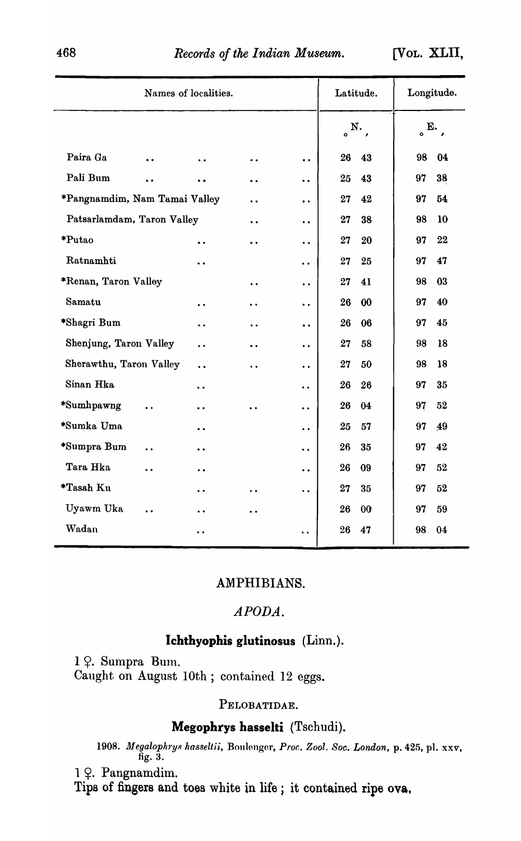[VOL. XLll,

| Names of localities.                | Latitude.            | Longitude.           |                      |                          |          |
|-------------------------------------|----------------------|----------------------|----------------------|--------------------------|----------|
|                                     |                      |                      |                      | $N_{\cdot}$<br>$\bullet$ | E.,<br>ō |
| Paira Ga<br>$\ddot{\phantom{a}}$    | $\ddot{\phantom{a}}$ | . .                  | $\ddot{\phantom{a}}$ | 26<br>43                 | 98<br>04 |
| Pali Bum<br>$\ddot{\phantom{0}}$    |                      | $\ddot{\phantom{a}}$ | $\ddot{\phantom{a}}$ | 25<br>43                 | 97<br>38 |
| *Pangnamdim, Nam Tamai Valley       | $\ddot{\phantom{0}}$ | $\ddot{\phantom{a}}$ | 27<br>42             | 97<br>54                 |          |
| Patsarlamdam, Taron Valley          | $\ddot{\phantom{0}}$ | $\ddot{\phantom{a}}$ | 27<br>38             | 98<br>10                 |          |
| *Putao                              | $\ddot{\phantom{0}}$ | $\ddot{\phantom{0}}$ | $\ddot{\phantom{a}}$ | 27<br>20                 | 97<br>22 |
| Ratnamhti                           | $\ddot{\phantom{0}}$ |                      | $\ddot{\phantom{a}}$ | 27<br>25                 | 97<br>47 |
| *Renan, Taron Valley                |                      | $\ddot{\phantom{1}}$ | $\ddot{\phantom{a}}$ | 27<br>41                 | 98<br>03 |
| Samatu                              | $\ddot{\phantom{0}}$ | $\ddot{\phantom{a}}$ | $\ddot{\phantom{a}}$ | 26<br>00                 | 40<br>97 |
| *Shagri Bum                         | $\ddot{\phantom{0}}$ | $\ddot{\phantom{0}}$ | $\ddot{\phantom{0}}$ | 26<br>06                 | 97<br>45 |
| Shenjung, Taron Valley              | $\ddot{\phantom{0}}$ | $\ddot{\phantom{0}}$ | $\ddot{\phantom{0}}$ | 27<br>58                 | 98<br>18 |
| Sherawthu, Taron Valley             | $\ddot{\phantom{0}}$ | $\ddot{\phantom{0}}$ | $\ddot{\bullet}$     | $27\,$<br>50             | 98<br>18 |
| Sinan Hka                           | . .                  |                      | $\ddot{\phantom{0}}$ | 26<br>26                 | 97<br>35 |
| *Sumhpawng<br>$\ddot{\phantom{a}}$  | $\ddot{\phantom{0}}$ | $\ddot{\phantom{a}}$ | $\ddot{\phantom{a}}$ | 26<br>04                 | 97<br>52 |
| *Sumka Uma                          | $\ddot{\phantom{a}}$ |                      | $\ddot{\phantom{0}}$ | 25<br>57                 | 97<br>49 |
| *Sumpra Bum<br>$\ddot{\phantom{0}}$ | $\ddot{\phantom{0}}$ |                      | $\ddot{\phantom{0}}$ | 26<br>35                 | 42<br>97 |
| Tara Hka<br>$\ddot{\phantom{0}}$    | . .                  |                      | $\ddot{\phantom{0}}$ | 26<br>09                 | 52<br>97 |
| *Tasah Ku                           | $\ddot{\phantom{0}}$ |                      | $\ddot{\phantom{0}}$ | 27<br>35                 | 97<br>52 |
| Uyawm Uka<br>$\ddot{\phantom{0}}$   |                      | $\ddot{\phantom{0}}$ |                      | 26<br>00                 | 97<br>59 |
| Wadan                               |                      |                      | $\ddot{\phantom{0}}$ | 26<br>47                 | 98<br>04 |

# AMPHIBIANS.

# APODA.

# **Ichthyophis glutinosus** (Linn.).

1 ?. Sumpra Bum. Caught on August lOth; contained 12 eggs.

## PELOBATIDAE.

# **Megophrys hasselti** (Tschudi).

*1908. 1JI egaloph1'YR hasseltii,* Bonlengor, *Proc. Zool. Soc. London,* p. 425, pI. xxv, fig. 3.

1 9. Pangnamdim.

Tips of fingers and toes white in life; it contained ripe ova.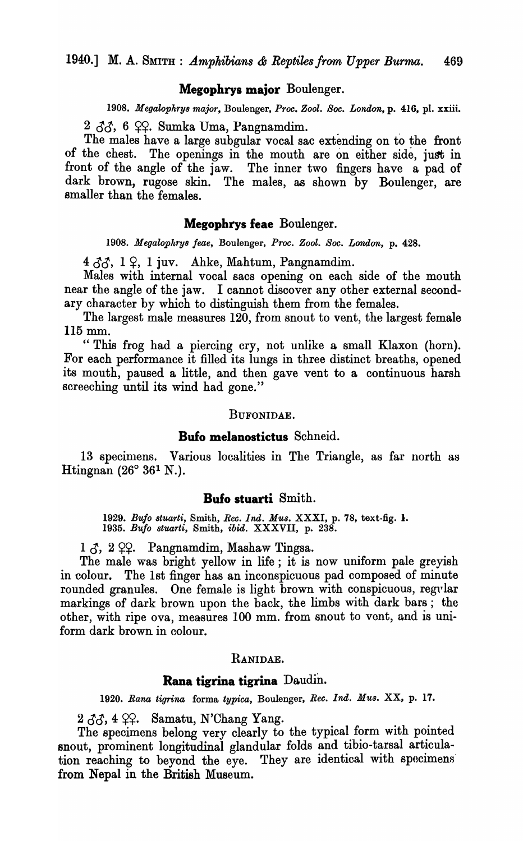#### **Megopbrys major** Boulenger.

*1908. Megalophrys major,* Boulenger, *Proc. Zool. Soc. London,* p. 416, pl. xxiii.

 $2 \angle \angle \angle \angle$ , 6  $\angle \angle$ . Sumka Uma, Pangnamdim.

The males have a large subgular vocal sac extending on to the front of the chest. The openings in the mouth are on either side, just in front of the angle of the jaw. The inner two fingers have a pad of dark brown, rugose skin. The males, as shown by Boulenger, are smaller than the females.

#### **Megopbrys feae** Boulenger.

*1908. Megalophrys !eae,* Boulenger, *Proc. Zool. Soc. London,* p. 428.

 $4 \, \delta \delta$ ,  $1 \, \Omega$ , 1 juv. Ahke, Mahtum, Pangnamdim.

Males with internal vocal sacs opening on each side of the mouth near the angle of the jaw. I cannot discover any other external secondary character by which to distinguish them from the females.

The largest male measures 120, from snout to vent, the largest female 115 mm.

"This frog had a piercing cry, not unlike a small Klaxon (horn). For each performance it filled its lungs in three distinct breaths, opened its mouth, paused a little, and then gave vent to a continuous harsh screeching until its wind had gone."

#### BUFONIDAE.

## **Bufo melanostictus** Schneid.

13 specimens. Various localities in The Triangle, as far north as Htingnan  $(26^{\circ} 36^{\circ} N)$ .

## **Bufo stuarti** Smith.

*1929. Bufo stuarti,* Smith, *Ree. Ind. Mus.* XXXI, p. 78, text-fig. 1. *1935. Bufo stuarti,* Smith, *ibid.* XXXVII, p. 238.

 $1 \zeta$ ,  $2 \zeta$ . Pangnamdim, Mashaw Tingsa.

The male was bright yellow in life; it is now uniform pale greyish in colour. The 1st finger has an inconspicuous pad composed of minute rounded granules. One female is light brown with conspicuous, regular markings of dark brown upon the back, the limbs with dark bars; the other, with ripe ova, measures 100 mm. from snout to vent, and is uniform dark brown in colour.

#### RANIDAE.

# **Rana tigrina tigrina** Daudin.

*1920. Rana tigrina* forma *typica,* Boulenger, *Rec. Ind. Mus.* XX, p. 17.

 $2 \angle 3\Diamond$ , 4  $\angle$  $\Diamond$ . Samatu, N'Chang Yang.

The specimens belong very clearly to the typical form with pointed snout, prominent longitudinal glandular folds and tibio-tarsal articulation reaching to beyond the eye. They are identical with specimens' from Nepal in the British Museum.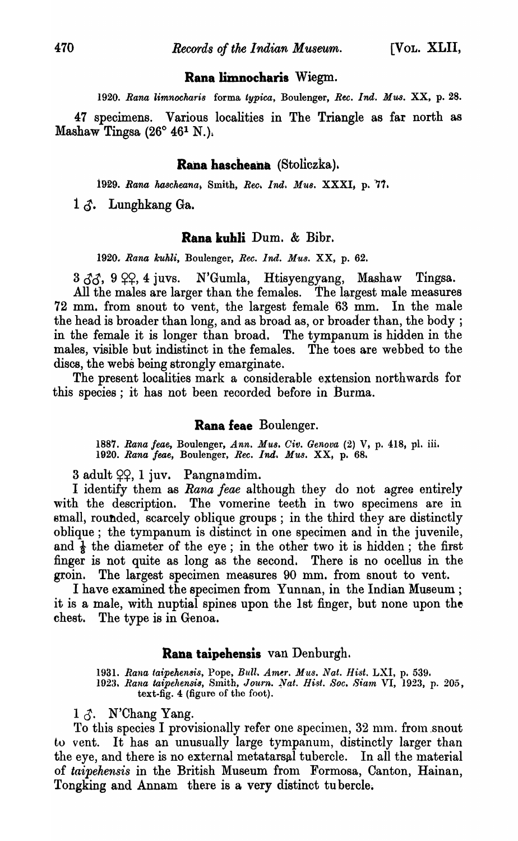## **Rana limnocharis Wiegm.**

*1920. Rana limnocharis* forma *typica,* Boulenger, *Ree. Ind. MUB.* XX, p. 28.

47 specimens. Various localities in The Triangle as far north as Mashaw Tingsa  $(26^{\circ} 46^{\circ} N)$ .

## **Rana hascheana** (Stoliczka).

1929. Rana hascheana, Smith, Rec. *Ind. Mus.* XXXI, p. 77.

 $1 \delta$ . Lunghkang Ga.

#### **Rana kuhli** Dum. & Bibr.

1920~ *Rana kuhli,* Boulenger, *Roo. Ind. Mus.* XX, p. 62.

 $3 \angle 3$ ,  $9 \angle 9$ ,  $4 \angle 4$  juvs. N'Gumla, Htisyengyang, Mashaw Tingsa. All the males are larger than the females. The largest male measures 72 mm. from snout to vent, the largest female 63 mm. In the male the head is broader than long, and as broad as, or broader than, the body ; in the female it is longer than broad. The tympanum is hidden in the males, visible but indistinct in the females. The toes are webbed to the discs, the webs being strongly emarginate.

The present localities mark a considerable extension northwards for this species; it has not been reoorded before in Burma.

## **Rana feae** Boulenger.

*1887. Rana /eae,* Boulenger, *Ann. M'U8. Giv. Genova* (2) V, p. 418, pI. iii. 1920. Rana feae, Boulenger, Rec. Ind. Mus. XX, p. 68.

 $3$  adult  $22$ , 1 juv. Pangnamdim.

I identify them as *Rana feae* although they do not agree entirely with the description. The vomerine teeth in two specimens are in small, rounded, scarcely oblique groups; in the third they are distinctly oblique; the tympanum is distinct in one specimen and in the juvenile, and  $\frac{1}{3}$  the diameter of the eye; in the other two it is hidden; the first finger is not quite as long as the second. There is no ocellus in the groin. The largest specimen measures 90 mm. from snout to vent.

I have examined the specimen from Yunnan, in the Indian Museum; it is a male, with nuptial spines upon the 1st finger, but none upon the chest. The type is in Genoa.

#### **Rana taipehensis** van Denburgh.

1931. Rana taipehensis, Pope, *Bull. Amer. Mus. Nat. Hist.* LXI, p. 539. 1923. Rana taipehensis, Smith, *Journ. Nat. Hist. Soc. Siam VI*, 1923, p. 205, text-fig. 4 (figure of the foot).

 $1 \uparrow$ . N'Chang Yang.

To this species I provisionally refer one specimen, 32 mm. from snout to vent. It has an unusually large tympanum, distinctly larger than the eye, and there is no external metatarsal tubercle. In all the material of *taipehensis* in the British Museum from Formosa, Canton, Hainan, Tongking and Annam there is a very distinct tu hercle.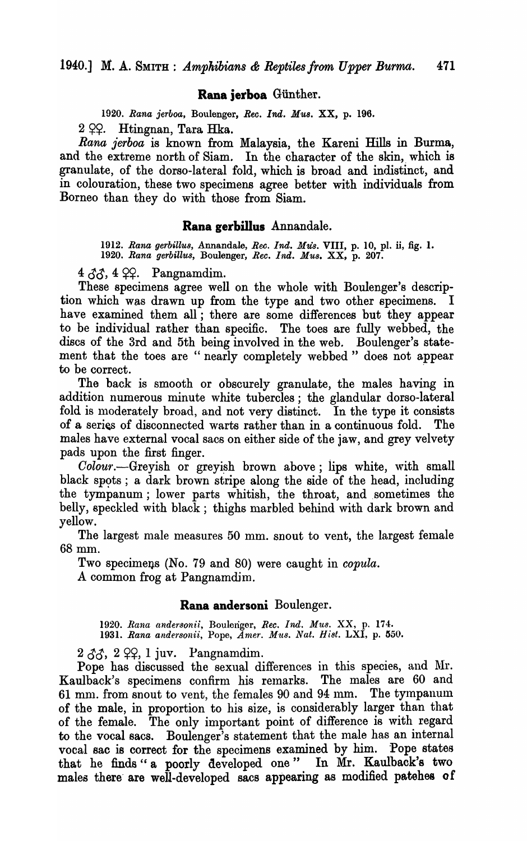## Rana jerboa Günther.

*1920. Rana jerboa,* Boulanger, *Ree. Ind. MU8.* XX, p. 196.

 $2$   $2$   $2$ . Htingnan, Tara Hka.

*Rana jerboa* is known from Malaysia, the Kareni Hills in Burma, and the extreme north of Siam. In the character of the skin, which is granulate, of the dorso-lateral fold, which is broad and indistinct, and in colouration, these two specimens agree better with individuals from Borneo than they do with those from Siam.

#### Rana gerbillus Annandale.

*1912. Rana gerbillu8,* Annandale, *Ree. Ind. MU8.* VIII, p. 10, pI. ii, fig. 1. *1920. Rana gerbillus,* Boulenger, *Ree. Ind. MU8.* XX, p. 207.

4  $\delta\delta$ , 4  $\varphi\varphi$ . Pangnamdim.

These specimens agree well on the whole with Boulenger's description which was drawn up from the type and two other specimens. I have examined them all; there are some differences but they appear to be individual rather than specific. The toes are fully webbed, the discs of the 3rd and 5th being involved in the web. Boulenger's statement that the toes are "nearly completely webbed" does not appear to be correct.

The hack is smooth or obscurely granulate, the males having in addition numerous minute white tubercles; the glandular dorso-Iateral fold is moderately broad, and not very distinct. In the type it consists of a series of disconnected warts rather than in a continuous fold. The males have external vocal sacs on either side of the jaw, and grey velvety pads upon the first finger.

*Colour.*—Greyish or greyish brown above; lips white, with small black spots; a dark brown stripe along the side of the head, including the tympanum; lower parts whitish, the throat, and sometimes the belly, speckled with black; thighs marbled behind with dark brown and yellow.

The largest male measures 50 mm. snout to vent, the largest female 6Smm.

Two specimens (No. 79 and 80) were caught in *copula*.

A common frog at Pangnamdim.

#### Rana andersoni Boulenger.

1920. Rana andersonii, Boulenger, Rec. Ind. Mus. XX, p. 174. 1931. Rana andersonii, Pope, *Amer. Mus. Nat. Hist. LXI*, p. 550.

2  $\delta\delta$ , 2  $\varphi$ , 1 juv. Pangnamdim.

Pope has discussed the sexual differences in this species, and Mr. Kaulback's specimens confirm his remarks. The males are 60 and 61 mm. from snout to vent, the females 90 and 94 mm. The tympanum of the male, in proportion to his size, is considerably larger than that of the female. The only important point of difference is with regard to the vocal sacs. Boulenger's statement that the male has an internal vocal sac is correct for the specimens examined by him. Pope states that he finds" a poorly developed one" In Mr. Kaulback's two males there are well-developed sacs appearing as modified patehes of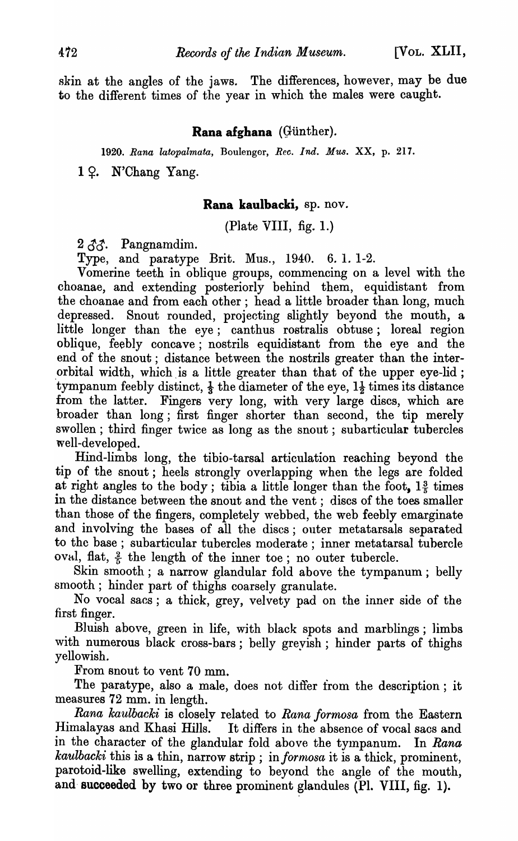skin at the angles of the jaws. The differences, however, may be due to the different times of the year in which the males were caught.

## Rana afghana (Günther).

*1920. Rana latopalmata,* Boulenger, *Reo. Ind. Mus.* XX, p. 217.

 $1 \, \Omega$ . N'Chang Yang.

#### Rana kaulbacki, sp. nov.

(Plate VIII, fig. 1.)

 $2 \, \mathcal{A} \mathcal{A}$ . Pangnamdim.

Type, and paratype Brit. Mus., 1940. 6. 1. 1-2.

Vomerine teeth in oblique groups, commencing on a level with the choanae, and extending posteriorly behind them, equidistant from the choanae and from each other; head a little broader than long, much depressed. Snout rounded, projecting slightly beyond the mouth, a little longer than the eye; canthus rostralis obtuse; loreal region oblique, feebly concave; nostrils equidistant from the eye and the end of the snout; distance between the nostrils greater than the inter orbital width, which is a little greater than that of the upper eye-lid; tympanum feebly distinct,  $\frac{1}{3}$  the diameter of the eye,  $1\frac{1}{2}$  times its distance from the latter. Fingers very long, with very large discs, which are broader than long; first finger shorter than second, the tip merely swollen; third finger twice as long as the snout; subarticular tubercles well-developed.

Hind-limbs long, the tibio-tarsal articulation reaching beyond the tip of the snout; heels strongly overlapping when the legs are folded at right angles to the body; tibia a little longer than the foot,  $1\frac{3}{5}$  times in the distance between the snout and the vent; discs of the toes smaller than those of the fingers, completely webbed, the web feebly emarginate and involving the bases of all the discs; outer metatarsals separated to the base; subarticular tubercles moderate; inner metatarsal tubercle oval, flat,  $\frac{2}{5}$  the length of the inner toe; no outer tubercle.

Skin smooth; a narrow glandular fold above the tympanum; belly smooth; hinder part of thighs coarsely granulate.

No vocal sacs; a thick, grey, velvety pad on the inner side of the first finger.

Bluish above, green in life, with black spots and marblings; limbs with numerous black cross-bars; belly grevish; hinder parts of thighs yellowish.

From snout to vent 70 mm.

The paratype, also a male, does not differ from the description; it measures 72 mm. in length.

*Rana kaulbacki* is closely related to *Rana formosa* from the Eastern Himalayas and Khasi Hills. It differs in the absence of vocal sacs and in the character of the glandular fold above the tympanum. In *Rana kaulbacki* this is a thin, narrow strip; in formosa it is a thick, prominent, parotoid-like swelling, extending to beyond the angle of the mouth, and succeeded by two or three prominent glandules (Pl. VIII, fig. 1).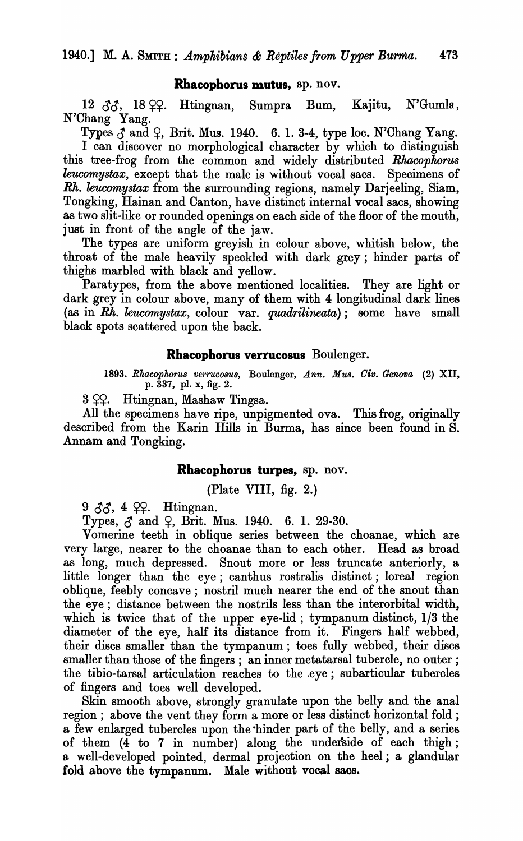#### Rhacophorus mutus, sp. nov.

12  $\delta\delta$ , 18  $\varphi$ . Htingnan, Sumpra Bum, Kajitu, N'Gumla, N'Chang Yang.

Types  $\beta$  and  $\beta$ , Brit. Mus. 1940. 6. 1. 3-4, type loc. N'Chang Yang. I can discover no morphological character by which to distinguish this tree-frog from the common and widely distributed *Rhacophorus leucomystax,* except that the male is without vocal sacs. Specimens of *Rh. kucomystax* from the surrounding regions, namely Darjeeling, Siam, Tongking, Hainan and Canton, have distinct internal vocal sacs, showing as two slit-like or rounded openings on each side of the floor of the mouth, just in front of the angle of the jaw.

The types are uniform greyish in colour above, whitish below, the throat of the male heavily speckled with dark grey; hinder parts of thighs marbled with black and yellow.

Paratypes, from the above mentioned localities. They are light or dark grey in colour above, many of them with 4 longitudinal dark lines (as in *Rh. leucomystax,* colour var. *quadrilineata);* some have small black spots scattered upon the back.

#### Rhacophorus verrucosus Boulenger.

1893. Rhacophorus verrucosus, Boulenger, *Ann. Mus. Civ. Genova* (2) XII, p. 337, pI. x, fig. 2.

 $3 \Omega$ . Htingnan, Mashaw Tingsa.

All the specimens have ripe, unpigmented ova. This frog, originally described from the Karin Hills in Burma, has since been found in S. Annam and Tongking.

#### Rhacophorus turpes, sp. nov.

(Plate VIII, fig. 2.)

9  $33, 4$   $99.$  Htingnan.

Types,  $\zeta$  and  $\zeta$ , Brit. Mus. 1940. 6. 1. 29-30.

Vomerine teeth in oblique series between the choanae, which are very large, nearer to the choanae than to each other. Head as broad as long, much depressed. Snout more or less truncate anteriorly, a little longer than the eye; canthus rostralis distinct; loreal region oblique, feebly concave; nostril much nearer the end of the snout than the eye; distance between the nostrils less than the interorbital width, which is twice that of the upper eye-lid; tympanum distinct, 1/3 the diameter of the eye, half its distance from it. Fingers half webbed, their discs smaller than the tympanum; toes fully webbed, their discs smaller than those of the fingers; an inner metatarsal tubercle, no outer; the tibio-tarsal articulation reaches to the eye; subarticular tubercles of fingers and toes well developed.

Skin smooth above, strongly granulate upon the belly and the anal region; above the vent they form a more or less distinct horizontal fold; a few enlarged tubercles upon the ·hinder part of the belly, and a series of them (4 to 7 in number) along the underside of each thigh; a well-developed pointed, dermal projection on the heel; a glandular fold above the tympanum. Male without vocal sacs.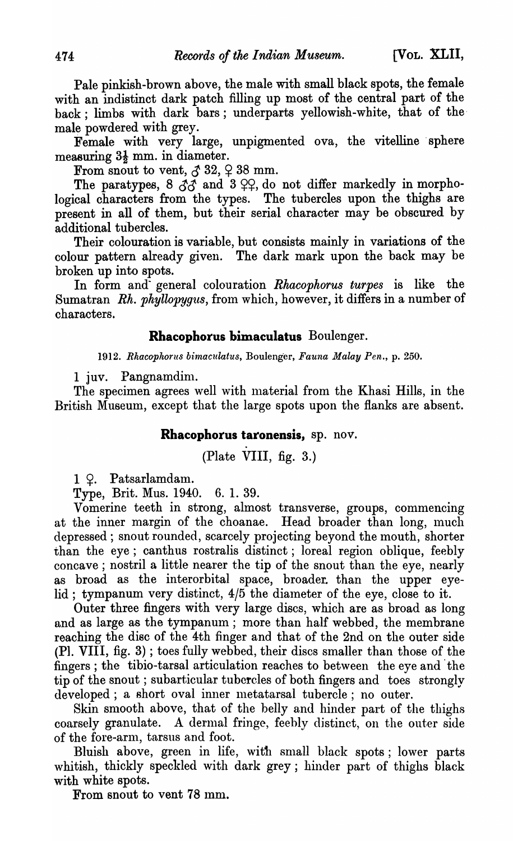Pale pinkish-brown above, the male with small black spots, the female with an indistinct dark patch filling up most of the central part of the back; limbs with dark bars; underparts yellowish-white, that of themale powdered with grey.

Female with very large, unpigmented ova, the vitelline sphere measuring  $3\frac{1}{2}$  mm. in diameter.

From snout to vent,  $\delta$  32,  $\varphi$  38 mm.

The paratypes, 8  $\tilde{\mathcal{J}}\tilde{\mathcal{J}}$  and 3  $\varphi\varphi$ , do not differ markedly in morphological characters from the types. The tubercles upon the thighs are present in all of them, but their serial character may be obscured by additional tubercles.

Their colouration is variable, but consists mainly in variations of the colour pattern already given. The dark mark upon the back may be broken up into spots.

In form and- general colouration *Rhacophorus turpes* is like the Sumatran *Rh. phyllopygus,* from which, however, it differs in a number of characters.

#### **Rhacophorus bimaculatus** Boulenger.

*1912. Rhacoplwrus bimaculatus,* Boulenger, *Fauna Malay Pen.,* p. 250.

1 juv. Pangnamdim.

The specimen agrees well with material from the Khasi Hills, in the British Museum, except that the large spots upon the flanks are absent.

### **Rhacophorus taronensis,** sp. nov.

(Plate VIII, fig. 3.)

1 <del>Q</del>. Patsarlamdam.

Type, Brit. Mus. 1940. 6. 1. 39.

Vomerine teeth in strong, almost transverse, groups, commencing at the inner margin of the choanae. Head broader than long, much depressed; snout rounded, scarcely projecting beyond the mouth, shorter than the eye; canthus rostralis distinct; loreal region oblique, feebly concave; nostril a little nearer the tip of the snout than the eye, nearly as broad as the interorbital space, broader. than the upper eyelid; tympanum very distinct,  $4/5$  the diameter of the eye, close to it.

Outer three fingers with very large discs, which are as broad as long and as large as the tympanum; more than half webbed, the membrane reaching the disc of the 4th finger and that of the 2nd on the outer side (PI. VIII, fig. 3) ; toes fully webbed, their discs smaller than those of the fingers; the tibio-tarsal articulation reaches to between the eye and' the tip of the snout; subarticular tubercles of both fingers and toes strongly developed; a short oval inner metatarsal tubercle; no outer.

Skin smooth above, that of the belly and hinder part of the thighs coarsely granulate. A dermal fringe, feebly distinct, on the outer side of the fore-arm, tarsus and foot.

Bluish above, green in life, with small black spots; lower parts whitish, thickly speckled with dark grey; hinder part of thighs black with white spots.

From snout to vent 78 mm.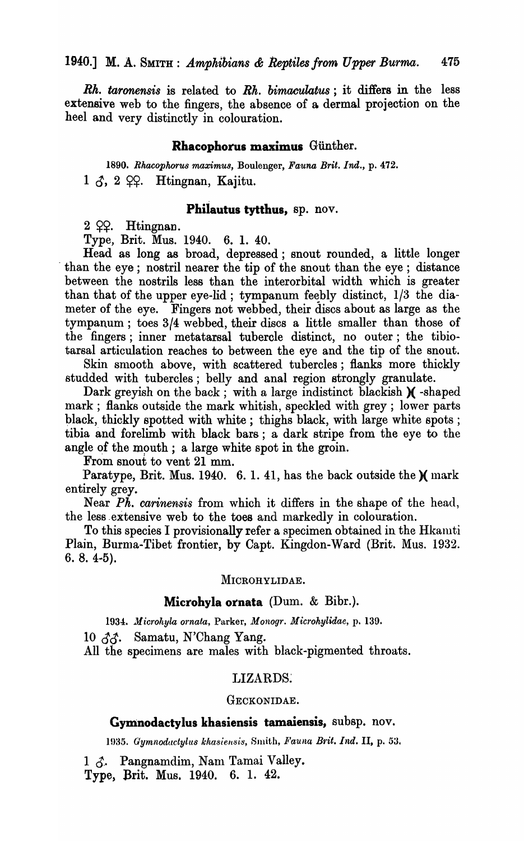*Rh. taronensis* is related to *Rh. bimaculatus;* it differs in the less extensive web to the fingers, the absence of a dermal projection on the heel and very distinctly in colouration.

#### Rhacophorus maximus Giinther.

*1890. Rhacopkoru8 maximu8,* Boulenger, *Fauna Brit. Ind.,* p. 472.  $1 \delta$ , 2  $\varphi$ . Htingnan, Kajitu.

## Philautus tytthus, sp. nov.

 $2$   $Q$  $Q$ . Htingnan.

Type, Brit. Mus. 1940. 6. 1. 40.

Head as long as broad, depressed; snout rounded, a little longer . than the eye; nostril nearer the tip of the snout than the eye; distance between the nostrils less than the interorbital width which is greater than that of the upper eye-lid; tympanum feebly distinct,  $1/3$  the diameter of the eye. Fingers not webbed, their discs about as large as the tympanum; toes 3/4 webbed, their discs a little smaller than those of the fingers; inner metatarsal tubercle distinct, no outer; the tibiotarsal articulation reaches to between the eye and the tip of the snout.

Skin smooth above, with scattered tubercles; flanks more thickly studded with tubercles; belly and anal region strongly granulate.

Dark greyish on the back; with a large indistinct blackish  $\chi$  -shaped mark; flanks outside the mark whitish, speckled with grey; lower parts black, thickly spotted with white; thighs black, with large white spots; tibia and forelimb with black bars; a dark stripe from the eye to the angle of the mouth; a large white spot in the groin.

From snout to vent 21 mm.

Paratype, Brit. Mus. 1940. 6. 1. 41, has the back outside the  $\chi$  mark entirely grey.

Near *Ph. carinensis* from which it differs in the shape of the head, the less .extensive web to the toes and markedly in colouration.

To this species I provisionally refer a specimen obtained in the Hkamti Plain, Burma-Tibet frontier, by Capt. Kingdon-Ward (Brit. Mus. 1932.  $6.8.4-5$ ).

#### MICROHYLIDAE.

#### Microhyla ornata (Dum. & Bibr.).

*1934 •. Jlicro/tyla Q1'nata,* Parker, *Monogr. Microhylidae,* p. 139.

10 *Jc!.* Samatu, N'Chang Yang.

All the specimens are males with black-pigmented throats.

#### LIZARDS.

#### GECKONIDAE.

## Gymnodactylus khasiensis tamaiensis, subsp. nov.

1935. *Gymnodactylus khasiensis, Smith, Fauna Brit. Ind. II, p. 53.* 

 $1 \, \delta$ . Pangnamdim, Nam Tamai Valley.

Type) Brit. Mus. 1940. 6. 1. 42.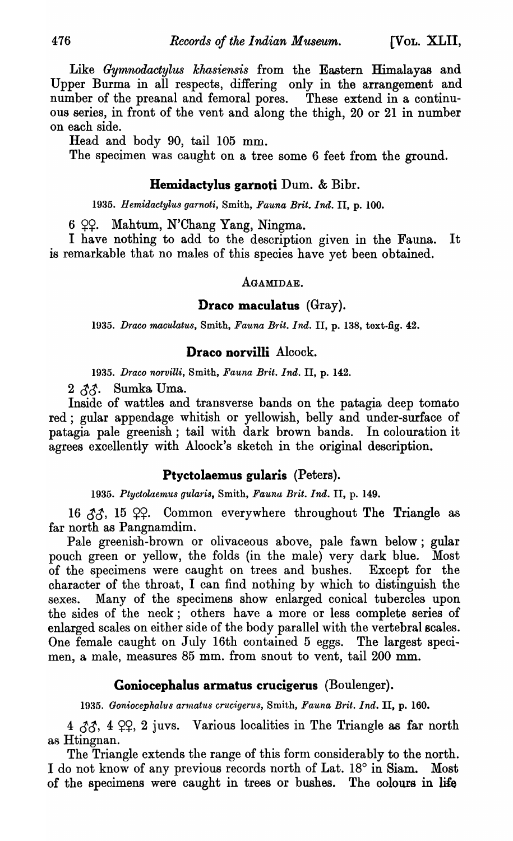Like *Gymnodactylus khasiensis* from the Eastern Himalayas and Upper Burma in all respects, differing only in the arrangement and number of the preanal and femoral pores. These extend in a continuous series, in front of the vent and along the thigh, 20 or 21 in number on each side.

Head and body 90, tail 105 mm.

The specimen was caught on a tree some 6 feet from the ground.

## **Hemidactylus garnoti** Dum. & Bibr.

*1935. Hemidactylus garnoti,* Smith, *Fauna Brit. Ind.* II, p. 100.

 $6$   $22.$  Mahtum, N'Chang Yang, Ningma.

I have nothing to add to the description given in the Fauna. It is remarkable that no males of this species have yet been obtained.

## AGAMIDAE.

#### **Draco maculatus** (Gray).

*1935. Draco maculatus,* Smith, *Fauna Brit. Ind.* II, p. 138, text-fig. 42.

## **Draco norvilli** Alcock.

*1935. Draco norviUi,* Smith, *Fauna Brit. Ind.* II, p. 142.

 $2 \, \delta \delta$ . Sumka Uma.

Inside of wattles and transverse bands on the patagia deep tomato red; gular appendage whitish or yellowish, belly and under-surface of patagia pale greenish; tail with dark brown bands. In colouration it agrees excellently with Alcock's sketch in the original description.

## **Ptyctolaemus gularis** (Peters).

*1935. Ptyctolaemus gularis,* Smith, *Fauna Brit. Ind.* II, p. 149.

16  $33$ , 15  $99$ . Common everywhere throughout The Triangle as far north as Pangnamdim.

Pale greenish-brown or olivaceous above, pale fawn below; gular pouch green or yellow, the folds (in the male) very dark blue. Most of the specimens were caught on trees and bushes. Except for the character of the throat, I can find nothing by which to distinguish the sexes. Many of the specimens show enlarged conical tubercles upon the sides of the neck; others have a more or less complete series of enlarged scales on either side of the body parallel with the vertebral scales. One female caught on July 16th contained 5 eggs. The largest specimen, a male, measures 85 mm. from snout to vent, tail 200 mm.

## **Goniocephalus armatus crucigerus** (Boulenger).

*1935. Goniocephalus armatus crucigerus,* Smith, *Fauna Brit. Ind.* II, p. 160.

 $4 \, \delta \delta$ ,  $4 \, \Omega$ ;  $2 \, \text{juvs}$ . Various localities in The Triangle as far north as Htingnan.

The Triangle extends the range of this form considerably to the north. I do not know of any previous records north of Lat. 18° in Siam. Most of the specimens were caught in trees or bushes. The colours in life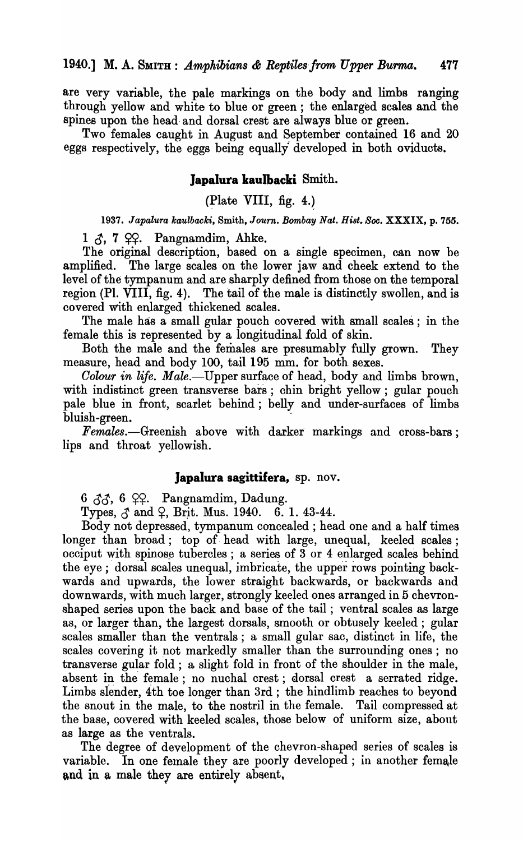are very variable, the pale markings on the body and limbs ranging through yellow and white to blue or green; the enlarged scales and the spines upon the head- and dorsal crest are always blue or green.

Two females caught in August and September contained 16 and 20 eggs respectively, the eggs being equally· developed in both oviducts.

## lapalura kaulbacki Smith.

(Plate VIII, fig. 4.)

1937. Japalura kaulbacki, Smith, Journ. Bombay Nat. Hist. Soc. XXXIX, p. 755.

 $1 \zeta$ , 7  $22$ . Pangnamdim, Ahke.

The original description, based on a single specimen, can now be amplified. The large scales on the lower jaw and cheek extend to the level of the tympanum and are sharply defined from those on the temporal region (PI. VIII, fig. 4). The tail of the male is distinctly swollen, and is covered with enlarged thickened scales.

The male has a small gular pouch covered with small scales; in the female this is represented by a longitudinal fold of skin.

Both the male and the females are presumably fully grown. They measure, head and body 100, tail 195 mm. for both sexes.

*Oolour in life. Male.-Upper* surface of head, body and limbs brown, with indistinct green transverse bars; chin bright yellow; gular pouch pale blue in front, scarlet behind; belly and under-surfaces of limbs bluish-green. -

*Females.*—Greenish above with darker markings and cross-bars; lips and throat yellowish.

#### japalura sagittifera, sp. nov.

 $6 \, \delta \delta$ , 6  $\varphi \varphi$ . Pangnamdim, Dadung.

Types,  $\zeta$  and  $\zeta$ , Brit. Mus. 1940. 6. 1. 43-44.

Body not depressed, tympanum concealed; head one and a half times longer than broad; top of head with large, unequal, keeled scales; occiput with spinose tubercles; a series of 3 or 4 enlarged scales behind the eye; dorsal scales unequal, imbricate, the upper rows pointing backwards and upwards, the lower straight backwards, or backwards and downwards, with much larger, strongly keeled ones arranged in 5 chevronshaped series upon the back and base of the tail; ventral scales as large as, or larger than, the largest dorsals, smooth or obtusely keeled; gular scales smaller than the ventrals; a small gular sac, distinct in life, the scales covering it not markedly smaller than the surrounding ones; no transverse gular fold; a slight fold in front of the shoulder in the male, absent in the female; no nuchal crest; dorsal crest a serrated ridge. Limbs slender, 4th toe longer than 3rd; the hindlimb reaches to beyond the snout in the male, to the nostril in the female. Tail compressed at the base, covered with keeled scales, those below of uniform size, about as large as the ventrals.

The degree of development of the chevron-shaped series of scales is variable. In one female they are poorly developed; in another female and in a male they are entirely absent,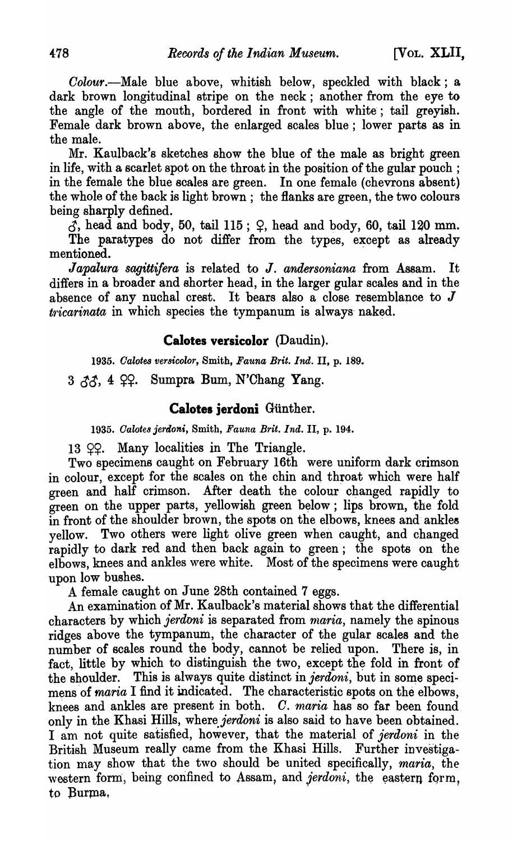*Colour*.—Male blue above, whitish below, speckled with black; a dark brown longitudinal stripe on the neck; another from the eye to the angle of the mouth, bordered in front with white; tail greyish. Female dark brown above, the enlarged scales blue; lower parts as in the male.

Mr. Kaulback's sketches show the blue of the male as bright green in life, with a scarlet spot on the throat in the position of the gular pouch; in the female the blue scales are green. In one female (chevrons absent) the whole of the back is light brown; the flanks are green, the two colours being sharply defined.

 $\tilde{d}$ , head and body, 50, tail 115;  $\varphi$ , head and body, 60, tail 120 mm. The paratypes do not differ from the types, except as already

mentioned.

*Japalura sagittifera* is related to J. *andersoniana* from Assam. It differs in a broader and shorter head, in the larger gular scales and in the absence of any nuchal crest. It bears also a close resemblance to  $J$  $tricarinata$  in which species the tympanum is always naked.

## **Calotes versicolor** (Daudin).

*1935. Oalotes ver8icolor,* Smith, *Fauna Brit. Ind.* II, p. 189.

 $3 \, \lambda \lambda$ , 4  $\Omega$ . Sumpra Bum, N'Chang Yang.

## **Calotes jerdoni Günther.**

*1935. Oalote8 jeraoni,* Smith, *Fauna Brit. Ind.* II, p. 194.

 $13$   $99$ . Many localities in The Triangle.

Two specimens caught on February 16th were uniform dark crimson in colour, except for the scales on the chin and throat which were half green and half crimson. After death the colour changed rapidly to  $g^{\text{re}}$  on the upper parts, yellowish green below; lips brown, the fold in front of the shoulder brown, the spots on the elbows, knees and ankles yellow. Two others were light olive green when caught, and changed rapidly to dark red and then back again to green; the spots on the elbows, knees and ankles were white. Most of the specimens were caught upon low bushes.

A female caught on June 28th contained 7 eggs.

An examination of Mr. Kaulback's material shows that the differential characters by which *jerdoni* is separated from *maria*, namely the spinous ridges above the tympanum, the character of the gular scales and the number of scales round the body, cannot be relied upon. There is, in fact, little by which to distinguish the two, except the fold in front of the shoulder. This is always quite distinct in *jerdoni*, but in some specimens of *maria* I find it indicated. The characteristic spots on the elbows, knees and ankles are present in both. O. maria has so far been found only in the Khasi Hills, where *jerdoni* is also said to have been obtained. I am not quite satisfied, however, that the material of *jerdoni* in the British Museum really came from the Khasi Hills. Further investigation may show that the two should be united specifically, *maria*, the western form, being confined to Assam, and *jerdoni*, the eastern form, to Burma,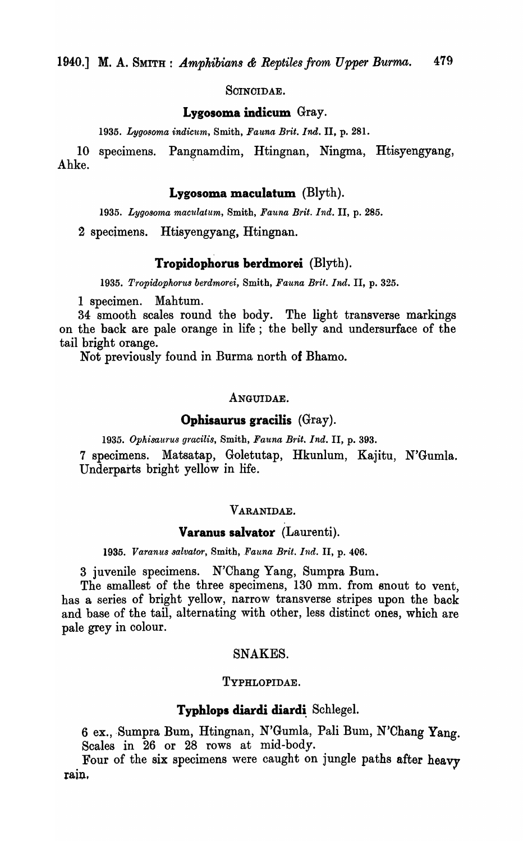SOINOIDAE.

## **Lygosoma indicum** Gray.

*1935. Lygosoma indic'um,* Smith, *Fauna Brit. Ind.* II, p. 281.

10 specimens. Pangnamdim, Htingnan, Ningma, Htisyengyang, Ahke.

#### **Lygosoma maculatum** (Blyth).

*1935. Lygosoma mac'lllatum,* Smith, *Fauna Brit. Ind.* II, p. 285.

2 specimens. Htisyengyang, Htingnan.

#### **Tropidophorus berdmorei** (Blyth).

*1935. Tropidophorus berdmorei,* Smith, *Fauna Brit. Ind.* II, p. 325.

1 specimen. Mahtum.

34 smooth scales round the body. The light transverse markings on the back are pale orange in life; the belly and undersurface of the tail bright orange.

Not previously found in Burma north of Bhamo.

#### ANGUIDAE.

#### **Ophisaurus gracilis** (Gray).

1935. Ophisaurus gracilis, Smith, Fauna Brit. Ind. II, p. 393.

7 specimens. Matsatap, Goletutap, Hkunlum, Kajitu, N'Gumla. Underparts bright yellow in life.

## VARANIDAE.

## **Varanus salvator** (Laurenti).

*1935. Varanus salvator,* Smith, *.Fauna Brit. Ind.* II, p. *406.* 

3 juvenile specimens. N'Chang Yang, Sumpra Bum.

The smallest of the three specimens, 130 mm. from snout to vent, has a series of bright yellow, narrow transverse stripes upon the back and base of the tail, alternating with other, less distinct ones, which are pale grey in colour.

#### SNAKES.

#### TYPHLOPIDAE.

#### **Typhlops diardi diardi** Schlegel.

6 ex., Sumpra Bum, Htingnan, N'Gumla, Pali Bum, N'Chang Yang. Scales in 26 or 28 rows at mid-body.

Four of the six specimens were caught on jungle paths after heavy rain.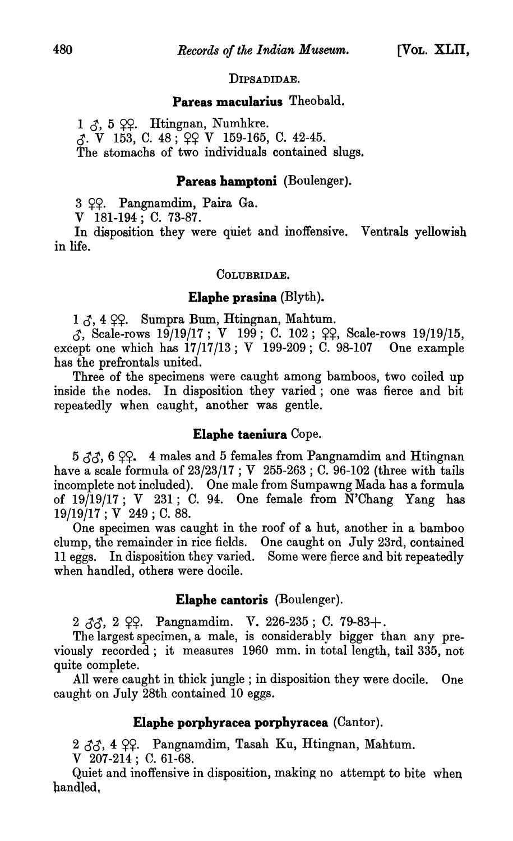## DIPSADIDAE.

## **Pareas macularius** Theobald.

 $1 \,$   $\delta$ ,  $5 \,$   $\Omega$ . Htingnan, Numhkre.  $\zeta$ . V 153, C. 48;  $\varphi$  V 159-165, C. 42-45. The stomachs of two individuals contained slugs.

## **Pareas hamptoni** (Boulenger).

3 ??. Pangnamdim, Paira Ga.

V 181-194; C. 73-87.

In disposition they were quiet and inoffensive. Ventrals yellowish in life.

#### COLUBRIDAE.

#### **Elaphe prasina** (Blyth).

 $1 \circled{3}$ , 4  $\circled{2}$ . Sumpra Bum, Htingnan, Mahtum.

 $\beta$ , Scale-rows 19/19/17; V 199; C. 102;  $\varphi$ , Scale-rows 19/19/15, except one which has 17/17/13; V 199-209; C. 98-107 One example has the prefrontals united.

Three of the specimens were caught among bamboos, two coiled up inside the nodes. In disposition they varied; one was fierce and bit repeatedly when caught, another was gentle.

## **Elaphe taeniura** Cope.

 $5 \, \delta \delta$ , 6  $\Omega$ , 4 males and 5 females from Pangnamdim and Htingnan have a scale formula of  $23/23/17$ ; V  $255-263$ ; C. 96-102 (three with tails incomplete not included). One male from Sumpawng Mada has a formula of  $19/19/17$ ; V  $231$ ; C. 94. One female from N'Chang Yang has 19/19/17 ; V 249; C. 88.

One specimen was caught in the roof of a hut, another in a bamboo clump, the remainder in rice fields. One caught on July 23rd, contained 11 eggs. In disposition they varied. Some were fierce and bit repeatedly when handled, others were docile.

### **Elaphe cantoris** (Boulenger).

2  $33, 2$   $99.$  Pangnamdim. *V.* 226-235; C. 79-83+.

The largest specimen, a male, is considerably bigger than any previously recorded; it measures 1960 mm. in total length, tail 335, not quite complete.

All were caught in thick jungle; in disposition they were docile. One caught on July 28th contained 10 eggs.

#### **Elaphe porphyracea porphyracea** (Cantor).

2  $33, 4$  99. Pangnamdim, Tasah Ku, Htingnan, Mahtum.

V 207-214; C. 61-68.

Quiet and inoffensive in disposition, making no attempt to bite when handled, .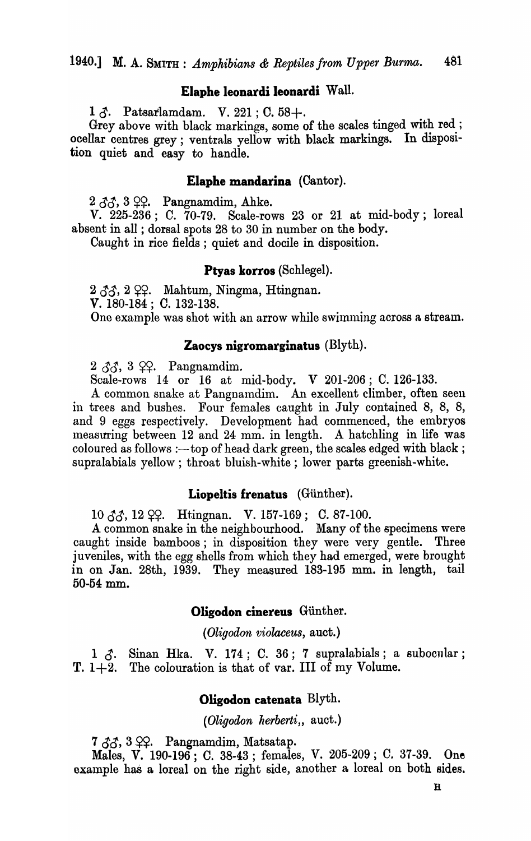## Elaphe leonardi leonardi Wall.

1  $\delta$ . Patsarlamdam. V. 221 ; C. 58+.

Grey above with black markings, some of the scales tinged with red; ocellar centres grey; ventrals yellow with black markings. In disposltion quiet and easy to handle.

#### Elapbe mandarina (Cantor).

 $2 \angle 3\Diamond 3$ ,  $\angle 9$ ?. Pangnamdim, Ahke.

V. 225-236; C. 70-79. Scale-rows 23 or 21 at mid-body; loreal absent in all ; dorsal spots 28 to 30 in number on the body.

Caught in rice fields; quiet and docile in disposition.

#### Ptyas korros (Schlegel).

 $2 \, \delta \delta$ ,  $2 \, \Omega$ . Mahtum, Ningma, Htingnan. V. 180-184; C. 132-138. One example was shot with an arrow while swimming across a stream.

#### Zaocys nigromarginatus  $(Blyth)$ .

 $2 \, \delta \delta$ , 3  $99.$  Pangnamdim.

Scale-rows 14 or 16 at mid-body. V 201-206; C. 126-133.

A common snake at Pangnamdim. An excellent climber, often seen in trees and bushes. Four females caught in July contained 8, 8, 8, and 9 eggs respectively. Development had commenced, the embryos measuring between 12 and 24 mm. in length. A hatchling in life was coloured as follows :--- top of head dark green, the scales edged with black; supralabials yellow; throat bluish-white; lower parts greenish-white.

#### Liopeltis frenatus (Giinther).

 $10 \, \text{AA}$ ,  $12 \, \text{QA}$ . Htingnan. V. 157-169; C. 87-100.

A common snake in the neighbourhood. Many of the specimens were caught inside bamboos; in disposition they were very gentle. Three juveniles, with the egg shells from which they had emerged, were brought in on Jan. 28th, 1939. They measured 183-195 mm. in length, tail 50-54 mm.

#### Oligodon cinereus Günther.

*(Oligodon violaceus, auct.)* 

 $1 \, \delta$ . Sinan Hka. V. 174; C. 36; 7 supralabials; a subocular; T.  $1+2$ . The colouration is that of var. III of my Volume.

#### Oligodon catenata Blyth.

*(Oligodon herberti,, auct.)* 

 $7 \, \delta \delta$ , 3  $99.$  Pangnamdim, Matsatap.

Males, V. 190-196; C. 38-43; females, V. 205-209; C. 37-39. One example has a loreal on the right side, another a loreal on both sides.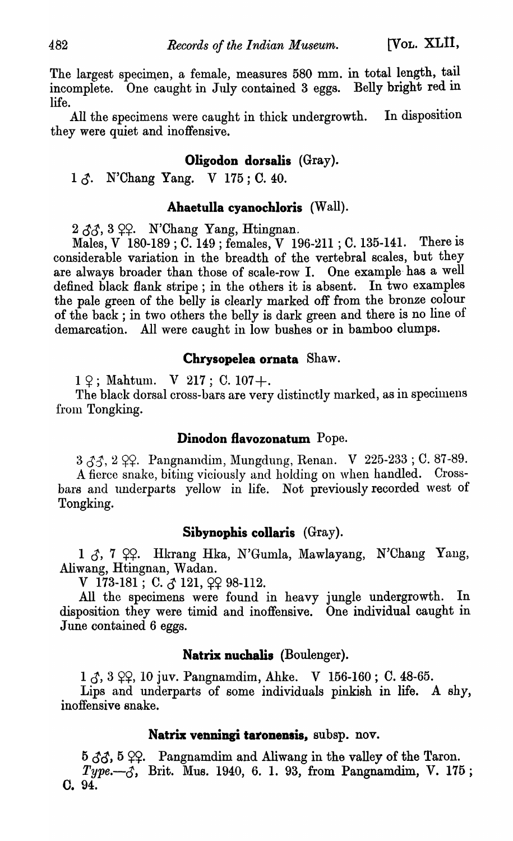The largest specimen, a female, measures 580 mm. in total length, tail incomplete. One caught in July contained 3 eggs. Belly bright red in life.

All the specimens were caught in thick undergrowth. In disposition they were quiet and inoffensive.

# Oligodon dorsalis (Gray).

 $1 \land$ . N'Chang Yang. V 175; C. 40.

# Ahaetulla cyanochloris (Wall).

 $2 \angle \angle \angle \Diamond \Diamond$ ,  $3 \angle 2$ . N'Chang Yang, Htingnan.

Males, V 180-189; C. 149 ; females, V 196-211; C. 135-141. There is considerable variation in the breadth of the vertebral scales, but they are always broader than those of scale-row I. One example has a well defined black flank stripe; in the others it is absent. In two examples the pale green of the belly is clearly marked off from the bronze colour of the back; in two others the belly is dark green and there is no line of demarcation. All were caught in low bushes or in bamboo clumps.

## Chrysopelea ornata Shaw.

 $1\,$   $\varphi$ ; Mahtum. V 217; C. 107+.

The black dorsal cross-bars are very distinctly marked, as in specimens from Tongking.

## Dinodon flavozonatum Pope.

 $3 \angle 3$ ,  $2 \angle 9$ . Pangnamdim, Mungdung, Renan. V 225-233; C. 87-89. A fierce snake, biting viciously and holding on when handled. Crossbars and underparts yellow in life. Not previously recorded west of Tongking.

## Sibynophis collaris (Gray).

1  $\delta$ , 7  $22$ . Hkrang Hka, N'Gumla, Mawlayang, N'Chang Yang, Aliwang, Htingnan, Wadan.

V 173-181; C.  $\zeta$  121,  $\varphi$ 2 98-112.

All the specimens were found in heavy jungle undergrowth. In disposition they were timid and inoffensive. One individual caught in June contained 6 eggs.

## Natrix nuchalis (Boulenger).

 $1 \zeta$ ,  $3 \zeta$ ,  $10 \text{ juv. Pangnamdim, Ahke.}$  V  $156-160$ ; C. 48-65.

Lips and underparts of some individuals pinkish in life. A shy, inoffensive snake.

## Natrix venningi taronensis, subsp. nov.

 $5 \, \delta \hat{\sigma}$ ,  $5 \, \Omega$ . Pangnamdim and Aliwang in the valley of the Taron.  $Type. - \text{\textit{5}}$ , Brit. Mus. 1940, 6. 1. 93, from Pangnamdim, V. 175; O. 94.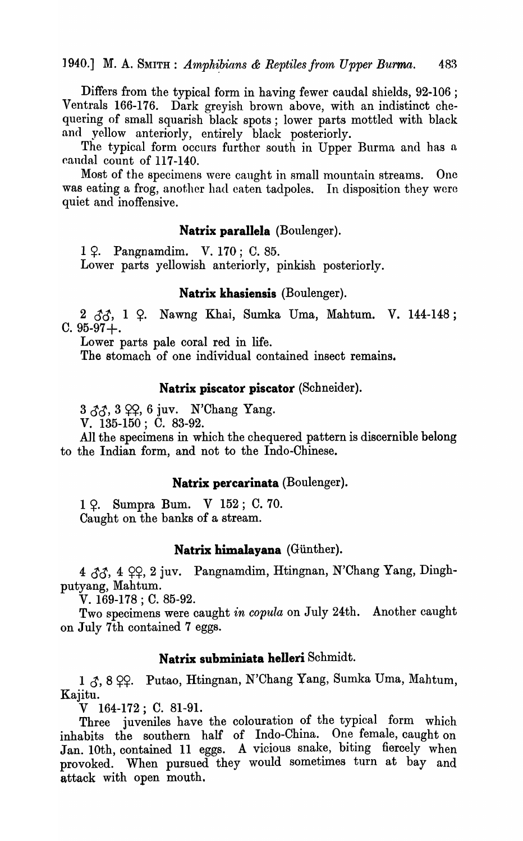Differs from the typical form in having fewer caudal shields, 92-106 ; Ventrals 166-176. Dark greyish brown above, with an indistinct chequering of small squarish black spots; lower parts mottled with black and yellow anteriorly, entirely black posteriorly.

The typical form occurs further south in Upper Burma and has a caudal count of 117-140.

Most of the specimens were caught in small mountain streams. One was eating a frog, another had eaten tadpoles. In disposition they were quiet and inoffensive.

#### **Natrix parallela** (Boulenger).

1 ?. Pangnamdim. V. 170; C. 85. Lower parts yellowish anteriorly, pinkish posteriorly.

#### **Natrix khasiensis** (Boulenger).

2  $\delta\delta$ , 1  $\Omega$ . Nawng Khai, Sumka Uma, Mahtum. V. 144-148;  $C.95-97+.$ 

Lower parts pale coral red in life.

The stomach of one individual contained insect remains.

#### **Natrix piscator piscator** (Schneider).

 $3 \, \delta \delta$ ,  $3 \, \Omega$ ,  $6 \, \text{juv.}$  N'Chang Yang.

V. 135-150; C. 83-92.

All the specimens in which the chequered pattern is discernible belong to the Indian form, and not to the Indo-Chinese.

#### **Natrix percarinata** (Boulenger).

1 ?. Sumpra Bum. V 152; C. 70. Caught on the banks of a stream.

#### Natrix himalayana (Günther).

4  $33, 4$  99, 2 juv. Pangnamdim, Htingnan, N'Chang Yang, Dinghputyang, Mahtum.

V. 169-178 ; C. 85-92.

Two specimens were caught *in copula* on July 24th. Another caught on July 7th contained 7 eggs.

#### **Natrix subminiata helleri** Schmidt.

1  $\zeta$ , 8  $\varphi$ . Putao, Htingnan, N'Chang Yang, Sumka Uma, Mahtum, Kajitu.

V 164-172; C. 81-91.

Three juveniles have the colouration of the typical form which inhabits the southern half of Indo-China. One female, caught on Jan. lOth, contained 11 eggs. A vicious snake, biting fiercely when provoked. When pursued they would sometimes turn at bay and attack with open mouth.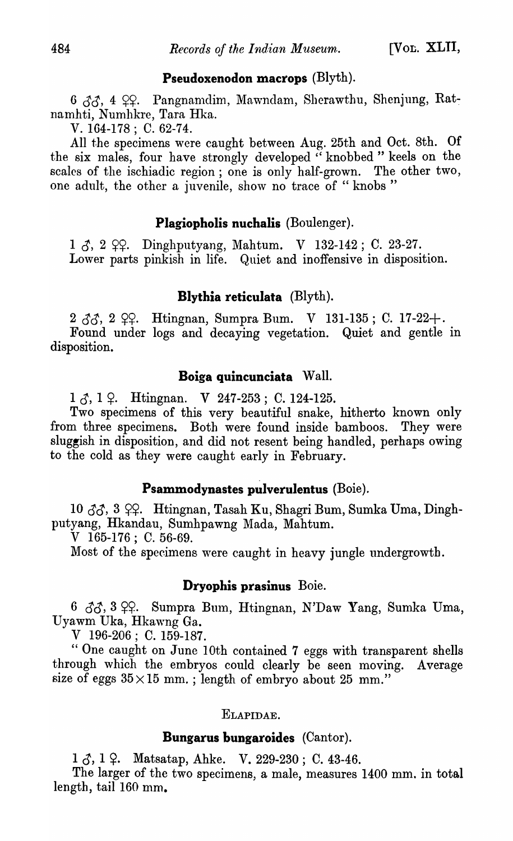## **Pseudoxenodon macrops** (Blyth).

6  $33, 4$  ºº. Pangnamdim, Mawndam, Sherawthu, Shenjung, Ratnamhti, Numhkre, Tara Hka.

V. 164-178; C. 62-74.

All the specimens were caught between Aug. 25th and Oct. 8th. Of the six males, four have strongly developed "knobbed" keels on the scalcs of the ischiadic region; one is only half-grown. The other two, one adult, the other a juvenile, show no trace of "knobs"

## **Plagiopholis nuchalis** (Boulenger).

 $1 \, \text{Å}$ ,  $2 \, \text{Q}$ , Dinghputyang, Mahtum. V 132-142; C. 23-27. Lower parts pinkish in life. Quiet and inoffensive in disposition.

# **Blythia reticulata** (Blyth).

 $2 \, \delta \delta$ ,  $2 \, \Omega$ . Htingnan, Sumpra Bum. V 131-135; C. 17-22+. Found under logs and decaying vegetation. Quiet and gentle in disposition.

## **Boiga quincunciata** Wall.

 $1 \zeta$ ,  $1 \zeta$ . Htingnan. V 247-253; C. 124-125.

Two specimens of this very beautiful snake, hitherto known only from three specimens. Both were found inside bamboos. They were sluggish in disposition, and did not resent being handled, perhaps owing to the cold as they were caught early in February.

## **Psammodynastes pulverulentus** (Boie).

10  $33, 3$  ??. Htingnan, Tasah Ku, Shagri Bum, Sumka Uma, Dinghputyang, Hkandau, Sumhpawng Mada, Mahtum.

V 165-176; C. 56-69.

Most of the specimens were caught in heavy jungle undergrowth.

#### **Dryophis prasinus** Boie.

 $6 \text{ } \partial/\partial \phi$ , Sumpra Bum, Htingnan, N'Daw Yang, Sumka Uma, Uyawm Uka, Hkawng Ga.

V 196-206; C. 159-187.

" One caught on June lOth contained 7 eggs with transparent shells through which the embryos could clearly be seen moving. Average size of eggs  $35 \times 15$  mm.; length of embryo about 25 mm."

## ELAPIDAE.

## **Bungarus bungaroides** (Cantor).

 $1 \zeta$ ,  $1 \zeta$ . Matsatap, Ahke. V. 229-230; C. 43-46.

The larger of the two specimens, a male, measures 1400 mm. in total length, tail 160 mm.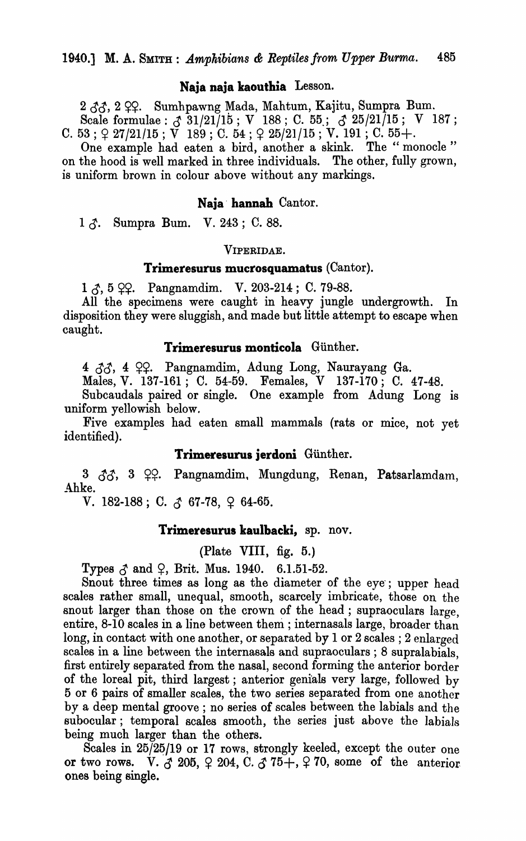#### Naja naja kaoutbia Lesson.

2  $33.2$  99. Sumhpawng Mada, Mahtum, Kajitu, Sumpra Bum. Scale formulae :  $\delta$  31/21/15; V 188; C. 55;  $\delta$  25/21/15; V 187; C. 53;  $\varphi$  27/21/15;  $\breve{V}$  189; C. 54;  $\varphi$  25/21/15;  $\breve{V}$ . 191; C. 55+.

One example had eaten a bird, another a skink. The "monocle" on the hood is well marked in three individuals. The other, fully grown, is uniform brown in colour above without any markings.

#### Naja' hannah Cantor.

 $1 \zeta$ . Sumpra Bum. V. 243; C. 88.

#### VIPERIDAE.

#### Trimeresurus mucrosquamatus (Cantor).

 $1 \zeta$ , 5  $\zeta$ . Pangnamdim. V. 203-214; C. 79-88.

All the specimens were caught in heavy jungle undergrowth. In disposition they were sluggish, and made but little attempt to escape when caught.

## Trimeresurus monticola Günther.

4  $33, 4$   $99.$  Pangnamdim, Adung Long, Naurayang Ga.

Males, V. 137-161; C. 54-59. Females, V 137-170; C. 47-48.

Subcaudals paired or single. One example from Adung Long is uniform yellowish below.

Five examples had eaten small mammals (rats or mice, not yet identified).

#### Trimeresurus jerdoni Giinther.

 $3 \quad \text{\textsterling}\mathfrak{F}, \quad 3 \quad \text{\textsterling}\mathfrak{S}.$  Pangnamdim, Mungdung, Renan, Patsarlamdam, Ahke.

V. 182-188; C.  $\zeta$  67-78,  $\zeta$  64-65.

#### Trimeresurus kaulbacki, sp. nov.

(Plate VIII, fig. 5.)

Types  $\delta$  and  $\Omega$ , Brit. Mus. 1940. 6.1.51-52.

Snout three times as long as the diameter of the eye; upper head scales rather small, unequal, smooth, scarcely imbricate, those on the snout larger than those on the crown of the head; supraoculars large, entire, 8-10 scales in a line between them; internasals large, broader than long, in contact with one another, or separated by 1 or 2 scales; 2 enlarged scales in a line between the internasals and supraoculars ; 8 supralabials, first entirely separated from the nasal, second forming the anterior border of the loreal pit, third largest; anterior genials very large, followed by 5 or 6 pairs of smaller scales, the two series separated from one another by a deep mental groove; no series of scales between the labials and the subocular; temporal scales smooth, the series just above the labials being much larger than the others.

Scales in 25/25/19 or 17 rows, strongly keeled, except the outer one or two rows. V.  $3205, 9204, C. 375 +, 970$ , some of the anterior. ones being single.